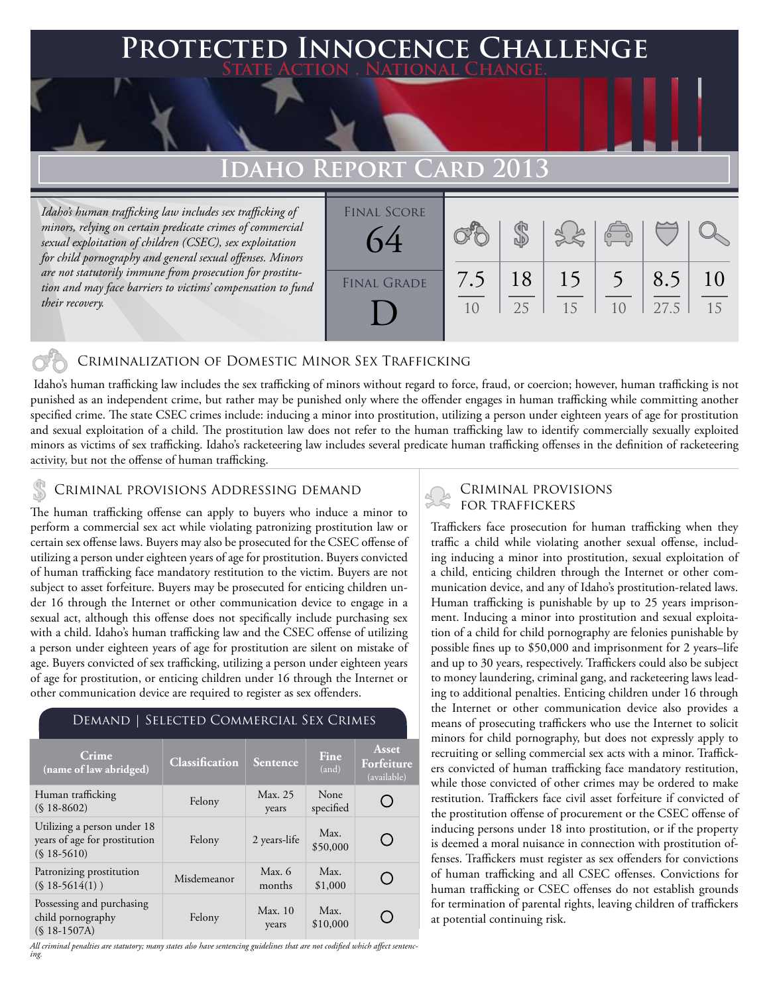### **FED INNOCENCE CHALLENGE State Action . National Change.**

## **Idaho Report Card 2013**

*Idaho's human trafficking law includes sex trafficking of minors, relying on certain predicate crimes of commercial sexual exploitation of children (CSEC), sex exploitation for child pornography and general sexual offenses. Minors are not statutorily immune from prosecution for prostitution and may face barriers to victims' compensation to fund their recovery.*

| <b>FINAL SCORE</b><br>64 |           |          |          | $\begin{pmatrix} 1 & 1 \\ 0 & 1 \end{pmatrix}$ |             |          |
|--------------------------|-----------|----------|----------|------------------------------------------------|-------------|----------|
| <b>FINAL GRADE</b>       | 7.5<br>10 | 18<br>25 | 15<br>15 | 10                                             | 8.5<br>27.5 | 10<br>15 |
|                          |           |          |          |                                                |             |          |

#### Criminalization of Domestic Minor Sex Trafficking

 Idaho's human trafficking law includes the sex trafficking of minors without regard to force, fraud, or coercion; however, human trafficking is not punished as an independent crime, but rather may be punished only where the offender engages in human trafficking while committing another specified crime. The state CSEC crimes include: inducing a minor into prostitution, utilizing a person under eighteen years of age for prostitution and sexual exploitation of a child. The prostitution law does not refer to the human trafficking law to identify commercially sexually exploited minors as victims of sex trafficking. Idaho's racketeering law includes several predicate human trafficking offenses in the definition of racketeering activity, but not the offense of human trafficking.

## CRIMINAL PROVISIONS ADDRESSING DEMAND<br>FOR TRAFFICKERS

The human trafficking offense can apply to buyers who induce a minor to perform a commercial sex act while violating patronizing prostitution law or certain sex offense laws. Buyers may also be prosecuted for the CSEC offense of utilizing a person under eighteen years of age for prostitution. Buyers convicted of human trafficking face mandatory restitution to the victim. Buyers are not subject to asset forfeiture. Buyers may be prosecuted for enticing children under 16 through the Internet or other communication device to engage in a sexual act, although this offense does not specifically include purchasing sex with a child. Idaho's human trafficking law and the CSEC offense of utilizing a person under eighteen years of age for prostitution are silent on mistake of age. Buyers convicted of sex trafficking, utilizing a person under eighteen years of age for prostitution, or enticing children under 16 through the Internet or other communication device are required to register as sex offenders.

#### Demand | Selected Commercial Sex Crimes

| Crime<br>(name of law abridged)                                              | <b>Classification</b> | Sentence           | Fine<br>(and)     | <b>Asset</b><br>Forfeiture<br>(available) |
|------------------------------------------------------------------------------|-----------------------|--------------------|-------------------|-------------------------------------------|
| Human trafficking<br>$(S18-8602)$                                            | Felony                | Max. 25<br>years   | None<br>specified |                                           |
| Utilizing a person under 18<br>years of age for prostitution<br>$(S18-5610)$ | Felony                | 2 years-life       | Max.<br>\$50,000  |                                           |
| Patronizing prostitution<br>$(S18-5614(1))$                                  | Misdemeanor           | Max. $6$<br>months | Max.<br>\$1,000   |                                           |
| Possessing and purchasing<br>child pornography<br>$(S$ 18-1507A)             | Felony                | Max.10<br>years    | Max.<br>\$10,000  |                                           |

*All criminal penalties are statutory; many states also have sentencing guidelines that are not codified which affect sentenc- ing.* 

# Criminal provisions

Traffickers face prosecution for human trafficking when they traffic a child while violating another sexual offense, including inducing a minor into prostitution, sexual exploitation of a child, enticing children through the Internet or other communication device, and any of Idaho's prostitution-related laws. Human trafficking is punishable by up to 25 years imprisonment. Inducing a minor into prostitution and sexual exploitation of a child for child pornography are felonies punishable by possible fines up to \$50,000 and imprisonment for 2 years–life and up to 30 years, respectively. Traffickers could also be subject to money laundering, criminal gang, and racketeering laws leading to additional penalties. Enticing children under 16 through the Internet or other communication device also provides a means of prosecuting traffickers who use the Internet to solicit minors for child pornography, but does not expressly apply to recruiting or selling commercial sex acts with a minor. Traffickers convicted of human trafficking face mandatory restitution, while those convicted of other crimes may be ordered to make restitution. Traffickers face civil asset forfeiture if convicted of the prostitution offense of procurement or the CSEC offense of inducing persons under 18 into prostitution, or if the property is deemed a moral nuisance in connection with prostitution offenses. Traffickers must register as sex offenders for convictions of human trafficking and all CSEC offenses. Convictions for human trafficking or CSEC offenses do not establish grounds for termination of parental rights, leaving children of traffickers at potential continuing risk.